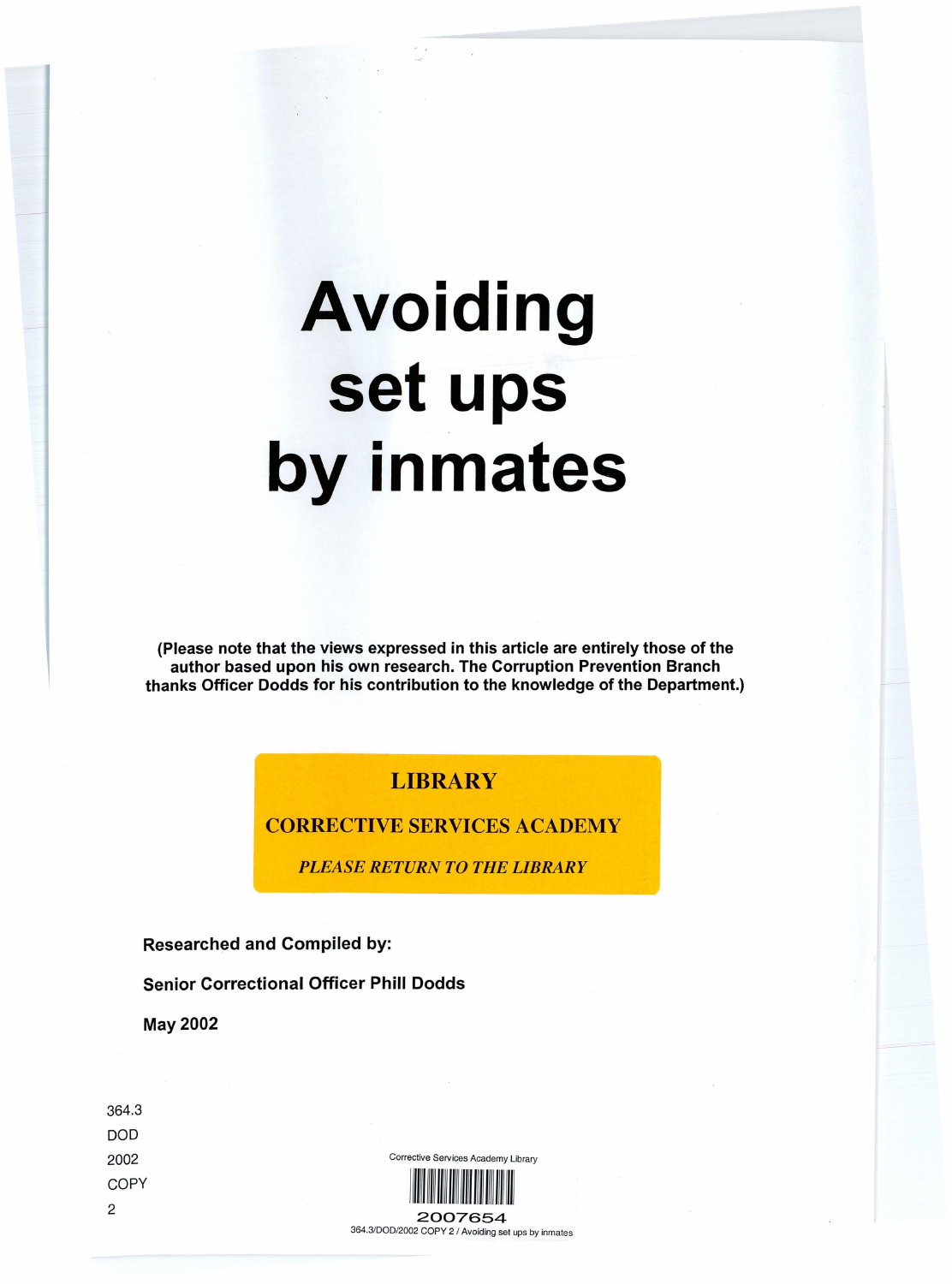# Avoiding set ups by inmates

(Please note that the views expressed in this article are entirely those of the author based upon his own research. The Corruption Prevention Branch thanks Officer Dodds for his contribution to the knowledge of the Department.)

## **LIBRARY**

## CORRECTIVE SERVICES ACADEMY

*PLEASE RETURN TO THE LIBRARY*

Researched and Compiled by:

Senior Correctional Officer Phill Dodds

May 2002

364.3 DOD 2002 **COPY** 2

Corrective Services Academy Library



364.3/000/2002 COpy 2 / Avoiding set ups by inmates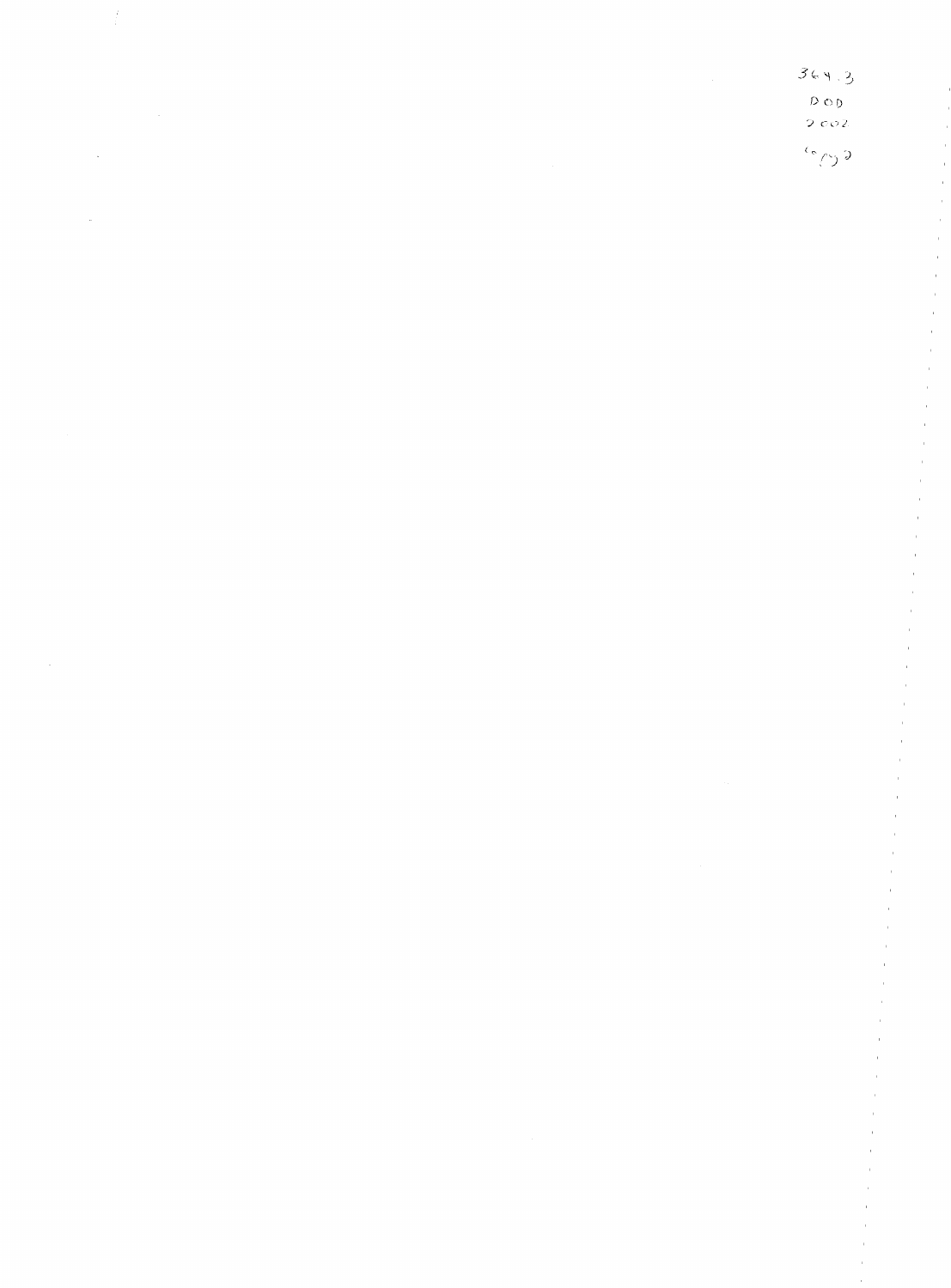| $\label{eq:2.1} \frac{1}{\sqrt{2}}\int_{\mathbb{R}^3}\frac{1}{\sqrt{2}}\left(\frac{1}{\sqrt{2}}\right)^2\frac{1}{\sqrt{2}}\left(\frac{1}{\sqrt{2}}\right)^2\frac{1}{\sqrt{2}}\left(\frac{1}{\sqrt{2}}\right)^2\frac{1}{\sqrt{2}}\left(\frac{1}{\sqrt{2}}\right)^2\frac{1}{\sqrt{2}}\left(\frac{1}{\sqrt{2}}\right)^2\frac{1}{\sqrt{2}}\frac{1}{\sqrt{2}}\frac{1}{\sqrt{2}}\frac{1}{\sqrt{2}}\frac{1}{\sqrt{2}}\frac{1}{\sqrt{2}}$<br>$\mathcal{A}^{\mathcal{A}}_{\mathcal{A}}$ and $\mathcal{A}^{\mathcal{A}}_{\mathcal{A}}$<br>$\mathcal{L}(\mathcal{A})$ and $\mathcal{L}(\mathcal{A})$<br>$\mathcal{L}_{\text{max}}$ and $\mathcal{L}_{\text{max}}$ . We can also also<br>$\label{eq:2.1} \mathcal{L}(\mathcal{L}^{\mathcal{L}}_{\mathcal{L}}(\mathcal{L}^{\mathcal{L}}_{\mathcal{L}})) \leq \mathcal{L}(\mathcal{L}^{\mathcal{L}}_{\mathcal{L}}(\mathcal{L}^{\mathcal{L}}_{\mathcal{L}})) \leq \mathcal{L}(\mathcal{L}^{\mathcal{L}}_{\mathcal{L}}(\mathcal{L}^{\mathcal{L}}_{\mathcal{L}}))$ | 364.3<br>$D$ O $\bar{D}$<br>$2002$<br>$\epsilon_{\rm c}$ |
|---------------------------------------------------------------------------------------------------------------------------------------------------------------------------------------------------------------------------------------------------------------------------------------------------------------------------------------------------------------------------------------------------------------------------------------------------------------------------------------------------------------------------------------------------------------------------------------------------------------------------------------------------------------------------------------------------------------------------------------------------------------------------------------------------------------------------------------------------------------------------------------------------------------------------------------------------------------------------------------------------|----------------------------------------------------------|
|                                                                                                                                                                                                                                                                                                                                                                                                                                                                                                                                                                                                                                                                                                                                                                                                                                                                                                                                                                                                   |                                                          |
|                                                                                                                                                                                                                                                                                                                                                                                                                                                                                                                                                                                                                                                                                                                                                                                                                                                                                                                                                                                                   |                                                          |
|                                                                                                                                                                                                                                                                                                                                                                                                                                                                                                                                                                                                                                                                                                                                                                                                                                                                                                                                                                                                   |                                                          |
|                                                                                                                                                                                                                                                                                                                                                                                                                                                                                                                                                                                                                                                                                                                                                                                                                                                                                                                                                                                                   |                                                          |
|                                                                                                                                                                                                                                                                                                                                                                                                                                                                                                                                                                                                                                                                                                                                                                                                                                                                                                                                                                                                   |                                                          |
|                                                                                                                                                                                                                                                                                                                                                                                                                                                                                                                                                                                                                                                                                                                                                                                                                                                                                                                                                                                                   |                                                          |
|                                                                                                                                                                                                                                                                                                                                                                                                                                                                                                                                                                                                                                                                                                                                                                                                                                                                                                                                                                                                   |                                                          |
|                                                                                                                                                                                                                                                                                                                                                                                                                                                                                                                                                                                                                                                                                                                                                                                                                                                                                                                                                                                                   |                                                          |
|                                                                                                                                                                                                                                                                                                                                                                                                                                                                                                                                                                                                                                                                                                                                                                                                                                                                                                                                                                                                   |                                                          |
|                                                                                                                                                                                                                                                                                                                                                                                                                                                                                                                                                                                                                                                                                                                                                                                                                                                                                                                                                                                                   |                                                          |
|                                                                                                                                                                                                                                                                                                                                                                                                                                                                                                                                                                                                                                                                                                                                                                                                                                                                                                                                                                                                   |                                                          |
|                                                                                                                                                                                                                                                                                                                                                                                                                                                                                                                                                                                                                                                                                                                                                                                                                                                                                                                                                                                                   |                                                          |
|                                                                                                                                                                                                                                                                                                                                                                                                                                                                                                                                                                                                                                                                                                                                                                                                                                                                                                                                                                                                   |                                                          |
|                                                                                                                                                                                                                                                                                                                                                                                                                                                                                                                                                                                                                                                                                                                                                                                                                                                                                                                                                                                                   |                                                          |
| $\label{eq:2.1} \mathcal{L}(\mathcal{L}^{\text{max}}_{\mathcal{L}}(\mathcal{L}^{\text{max}}_{\mathcal{L}}),\mathcal{L}^{\text{max}}_{\mathcal{L}^{\text{max}}_{\mathcal{L}}(\mathcal{L}^{\text{max}}_{\mathcal{L}^{\text{max}}_{\mathcal{L}^{\text{max}}_{\mathcal{L}^{\text{max}}_{\mathcal{L}^{\text{max}}_{\mathcal{L}^{\text{max}}_{\mathcal{L}^{\text{max}}_{\mathcal{L}^{\text{max}}_{\mathcal{L}^{\text{max}}_{\mathcal{L}^{\text{max}}_{\mathcal{$                                                                                                                                                                                                                                                                                                                                                                                                                                                                                                                                        |                                                          |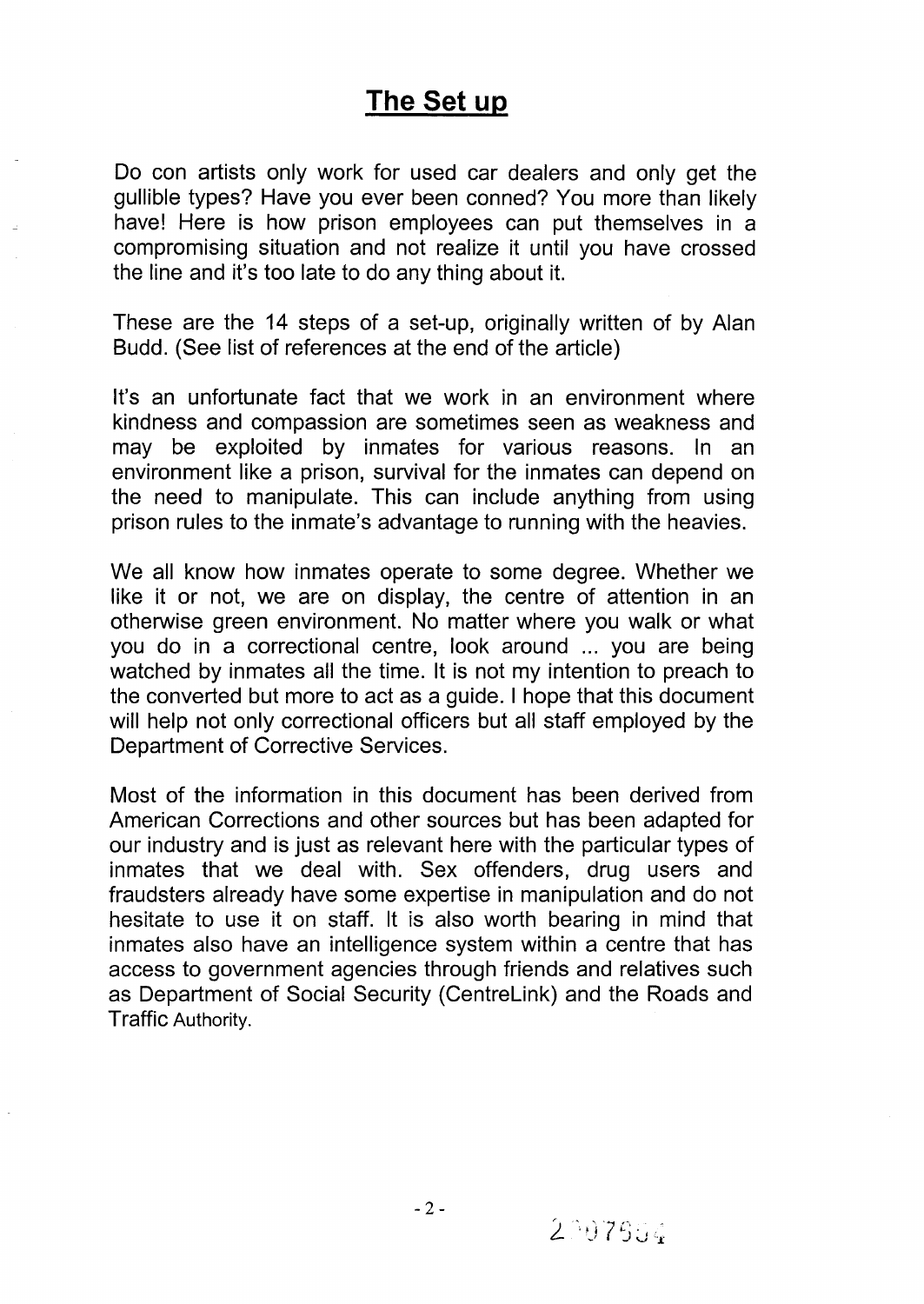## The Set up

Do con artists only work for used car dealers and only get the gullible types? Have you ever been conned? You more than likely have! Here is how prison employees can put themselves in a compromising situation and not realize it until you have crossed the line and it's too late to do any thing about it.

These are the 14 steps of a set-up, originally written of by Alan Budd. (See list of references at the end of the article)

It's an unfortunate fact that we work in an environment where kindness and compassion are sometimes seen as weakness and may be exploited by inmates for various reasons. In an environment like a prison, survival for the inmates can depend on the need to manipulate. This can include anything from using prison rules to the inmate's advantage to running with the heavies.

We all know how inmates operate to some degree. Whether we like it or not, we are on display, the centre of attention in an otherwise green environment. No matter where you walk or what you do in a correctional centre, look around ... you are being watched by inmates all the time. It is not my intention to preach to the converted but more to act as a guide. I hope that this document will help not only correctional officers but all staff employed by the Department of Corrective Services.

Most of the information in this document has been derived from American Corrections and other sources but has been adapted for our industry and is just as relevant here with the particular types of inmates that we deal with. Sex offenders, drug users and fraudsters already have some expertise in manipulation and do not hesitate to use it on staff. It is also worth bearing in mind that inmates also have an intelligence system within a centre that has access to government agencies through friends and relatives such as Department of Social Security (CentreLink) and the Roads and Traffic Authority.

-2-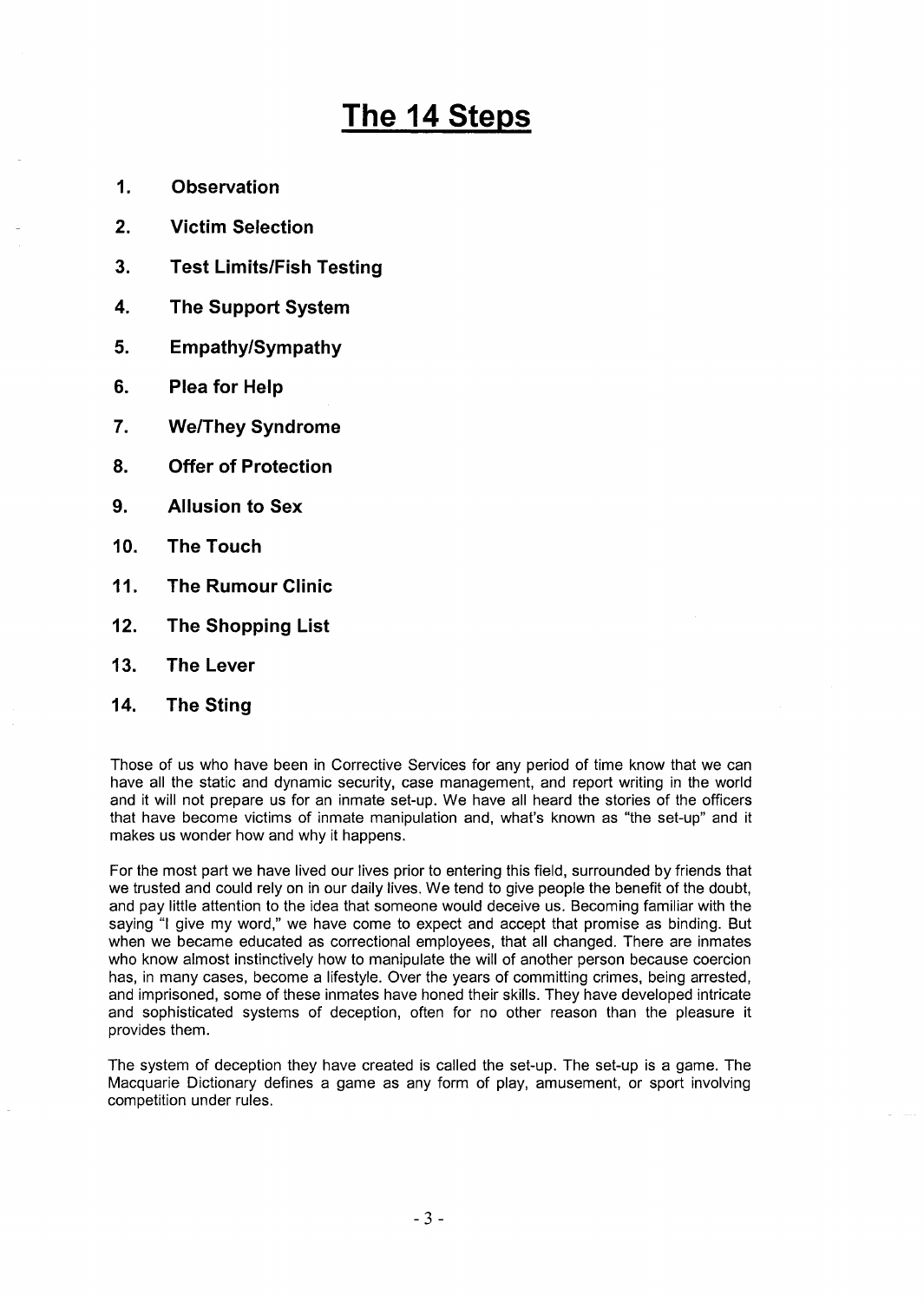# **The** 14 Steps

- **1. Observation**
- **2. Victim Selection**
- **3. Test Limits/Fish Testing**
- **4. The Support System**
- **5. Empathy/Sympathy**
- **6. Plea for Help**
- **7. We/They Syndrome**
- **8. Offer of Protection**
- **9. Allusion to Sex**
- **10. The Touch**
- **11. The Rumour Clinic**
- **12. The Shopping List**
- **13. The Lever**
- **14. The Sting**

Those of us who have been in Corrective Services for any period of time know that we can have all the static and dynamic security, case management, and report writing in the world and it will not prepare us for an inmate set-up. We have all heard the stories of the officers that have become victims of inmate manipulation and, what's known as "the set-up" and it makes us wonder how and why it happens.

For the most part we have lived our lives prior to entering this field, surrounded by friends that we trusted and could rely on in our daily lives. We tend to give people the benefit of the doubt, and pay little attention to the idea that someone would deceive us. Becoming familiar with the saying "I give my word," we have come to expect and accept that promise as binding. But when we became educated as correctional employees, that all changed. There are inmates who know almost instinctively how to manipulate the will of another person because coercion has, in many cases, become a lifestyle. Over the years of committing crimes, being arrested, and imprisoned, some of these inmates have honed their skills. They have developed intricate and sophisticated systems of deception, often for no other reason than the pleasure it provides them.

The system of deception they have created is called the set-up. The set-up is a game. The Macquarie Dictionary defines a game as any form of play, amusement, or sport involving competition under rules.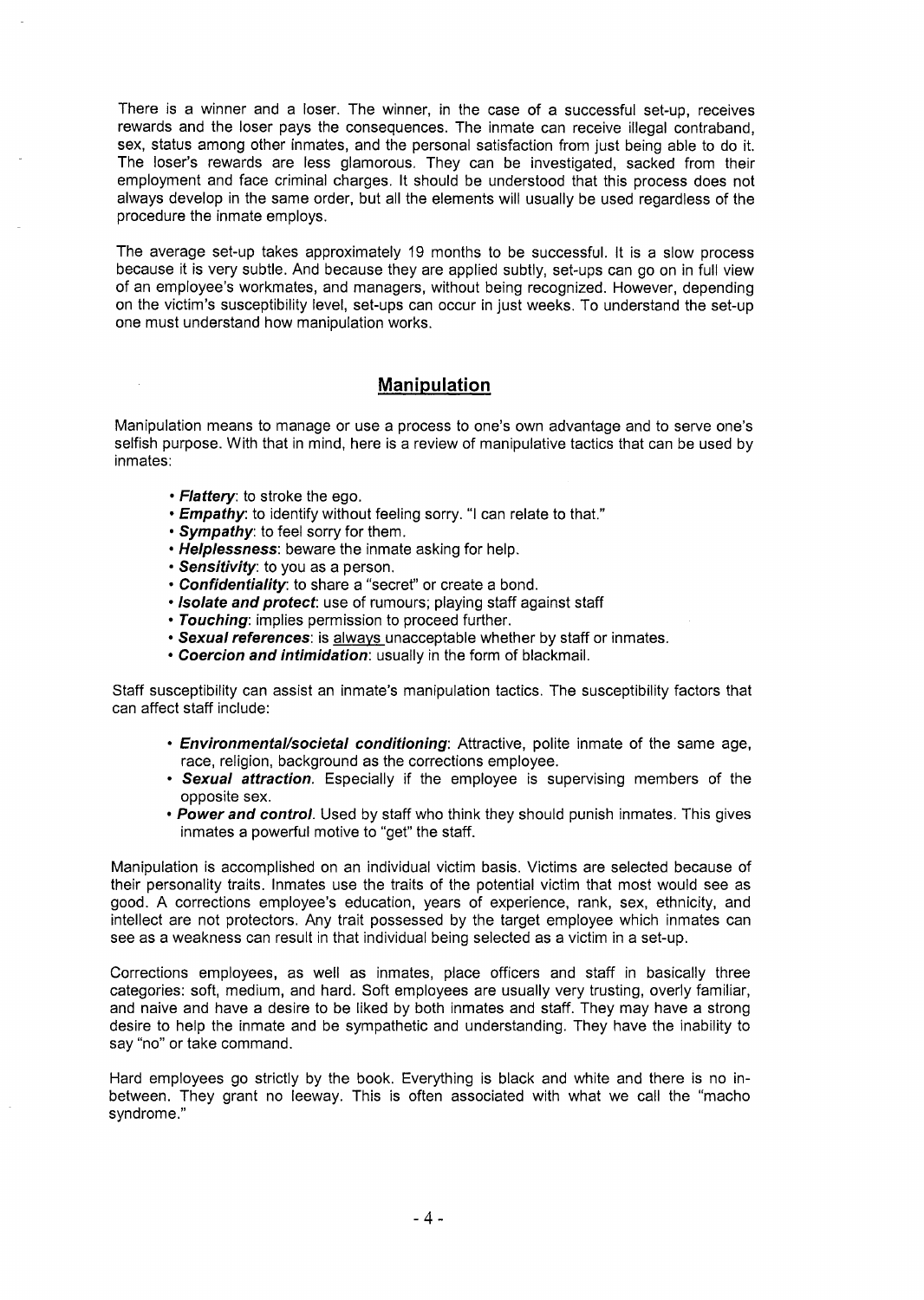There is a winner and a loser. The winner, in the case of a successful set-up, receives rewards and the loser pays the consequences. The inmate can receive illegal contraband, sex, status among other inmates, and the personal satisfaction from just being able to do it. The loser's rewards are less glamorous. They can be investigated, sacked from their employment and face criminal charges. It should be understood that this process does not always develop in the same order, but all the elements will usually be used regardless of the procedure the inmate employs.

The average set-up takes approximately 19 months to be successful. It is a slow process because it is very subtle. And because they are applied subtly, set-ups can go on in full view of an employee's workmates, and managers, without being recognized. However, depending on the victim's susceptibility level, set-ups can occur in just weeks. To understand the set-up one must understand how manipulation works.

#### **Manipulation**

Manipulation means to manage or use a process to one's own advantage and to serve one's selfish purpose. With that in mind, here is a review of manipulative tactics that can be used by inmates:

- Flattery: to stroke the ego.
- Empathy: to identify without feeling sorry. "I can relate to that."
- Sympathy: to feel sorry for them.
- Helplessness: beware the inmate asking for help.
- Sensitivity: to you as a person.
- Confidentiality: to share a "secret" or create a bond.
- Isolate and protect: use of rumours; playing staff against staff
- Touching: implies permission to proceed further.
- Sexual references: is always unacceptable whether by staff or inmates.
- Coercion and intimidation: usually in the form of blackmail.

Staff susceptibility can assist an inmate's manipulation tactics. The susceptibility factors that can affect staff include:

- Environmental/societal conditioning: Attractive, polite inmate of the same age, race, religion, background as the corrections employee.
- Sexual attraction. Especially if the employee is supervising members of the opposite sex.
- Power and control. Used by staff who think they should punish inmates. This gives inmates a powerful motive to "get" the staff.

Manipulation is accomplished on an individual victim basis. Victims are selected because of their personality traits. Inmates use the traits of the potential victim that most would see as good. A corrections employee's education, years of experience, rank, sex, ethnicity, and intellect are not protectors. Any trait possessed by the target employee which inmates can see as a weakness can result in that individual being selected as a victim in a set-up.

Corrections employees, as well as inmates, place officers and staff in basically three categories: soft, medium, and hard. Soft employees are usually very trusting, overly familiar, and naive and have a desire to be liked by both inmates and staff. They may have a strong desire to help the inmate and be sympathetic and understanding. They have the inability to say "no" or take command.

Hard employees go strictly by the book. Everything is black and white and there is no inbetween. They grant no leeway. This is often associated with what we call the "macho syndrome."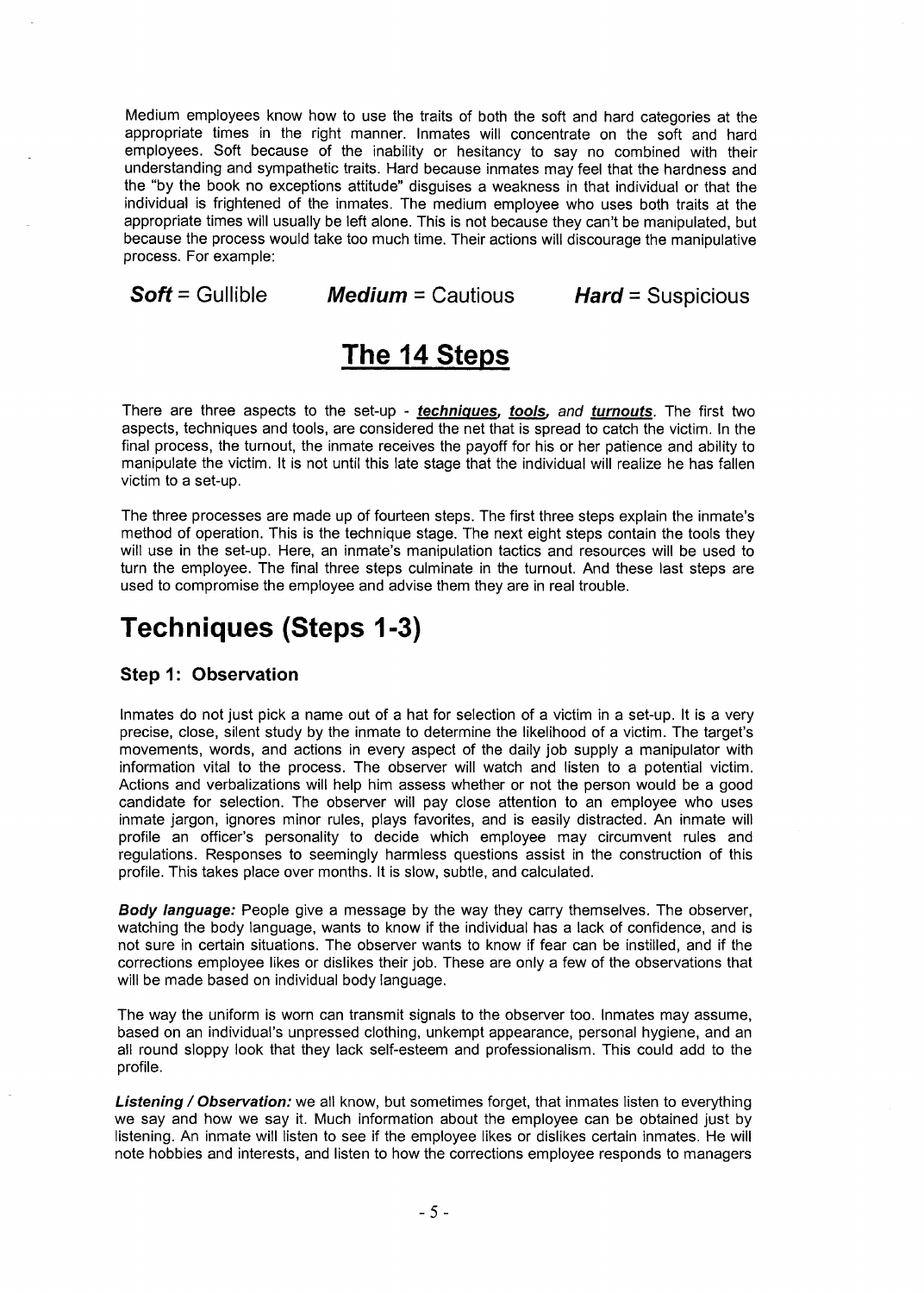Medium employees know how to use the traits of both the soft and hard categories at the appropriate times in the right manner. Inmates will concentrate on the soft and hard employees. Soft because of the inability or hesitancy to say no combined with their understanding and sympathetic traits. Hard because inmates may feel that the hardness and the "by the book no exceptions attitude" disguises a weakness in that individual or that the individual is frightened of the inmates. The medium employee who uses both traits at the appropriate times will usually be left alone. This is not because they can't be manipulated, but because the process would take too much time. Their actions will discourage the manipulative process. For example:

 $Soft = \text{Gullible}$  Medium = Cautious

 $Hard =$  Suspicious

## The 14 Steps

There are three aspects to the set-up - techniques, tools, and turnouts. The first two aspects, techniques and tools, are considered the net that is spread to catch the victim. In the final process, the turnout, the inmate receives the payoff for his or her patience and ability to manipulate the victim. It is not until this late stage that the individual will realize he has fallen victim to a set-up.

The three processes are made up of fourteen steps. The first three steps explain the inmate's method of operation. This is the technique stage. The next eight steps contain the tools they will use in the set-up. Here, an inmate's manipulation tactics and resources will be used to turn the employee. The final three steps culminate in the turnout. And these last steps are used to compromise the employee and advise them they are in real trouble.

## Techniques (Steps 1-3)

#### Step 1: Observation

Inmates do not just pick a name out of a hat for selection of a victim in a set-up. It is a very precise, close, silent study by the inmate to determine the likelihood of a victim. The target's movements, words, and actions in every aspect of the daily job supply a manipulator with information vital to the process. The observer will watch and listen to a potential victim. Actions and verbalizations will help him assess whether or not the person would be a good candidate for selection. The observer will pay close attention to an employee who uses inmate jargon, ignores minor rules, plays favorites, and is easily distracted. An inmate will profile an officer's personality to decide which employee may circumvent rules and regulations. Responses to seemingly harmless questions assist in the construction of this profile. This takes place over months. It is slow, subtle, and calculated.

**Body language:** People give a message by the way they carry themselves. The observer, watching the body language, wants to know if the individual has a lack of confidence, and is not sure in certain situations. The observer wants to know if fear can be instilled, and if the corrections employee likes or dislikes their job. These are only a few of the observations that will be made based on individual body language.

The way the uniform is worn can transmit signals to the observer too. Inmates may assume, based on an individual's unpressed clothing, unkempt appearance, personal hygiene, and an all round sloppy look that they lack self-esteem and professionalism. This could add to the profile.

Listening / Observation: we all know, but sometimes forget, that inmates listen to everything we say and how we say it. Much information about the employee can be obtained just by listening. An inmate will listen to see if the employee likes or dislikes certain inmates. He will note hobbies and interests, and listen to how the corrections employee responds to managers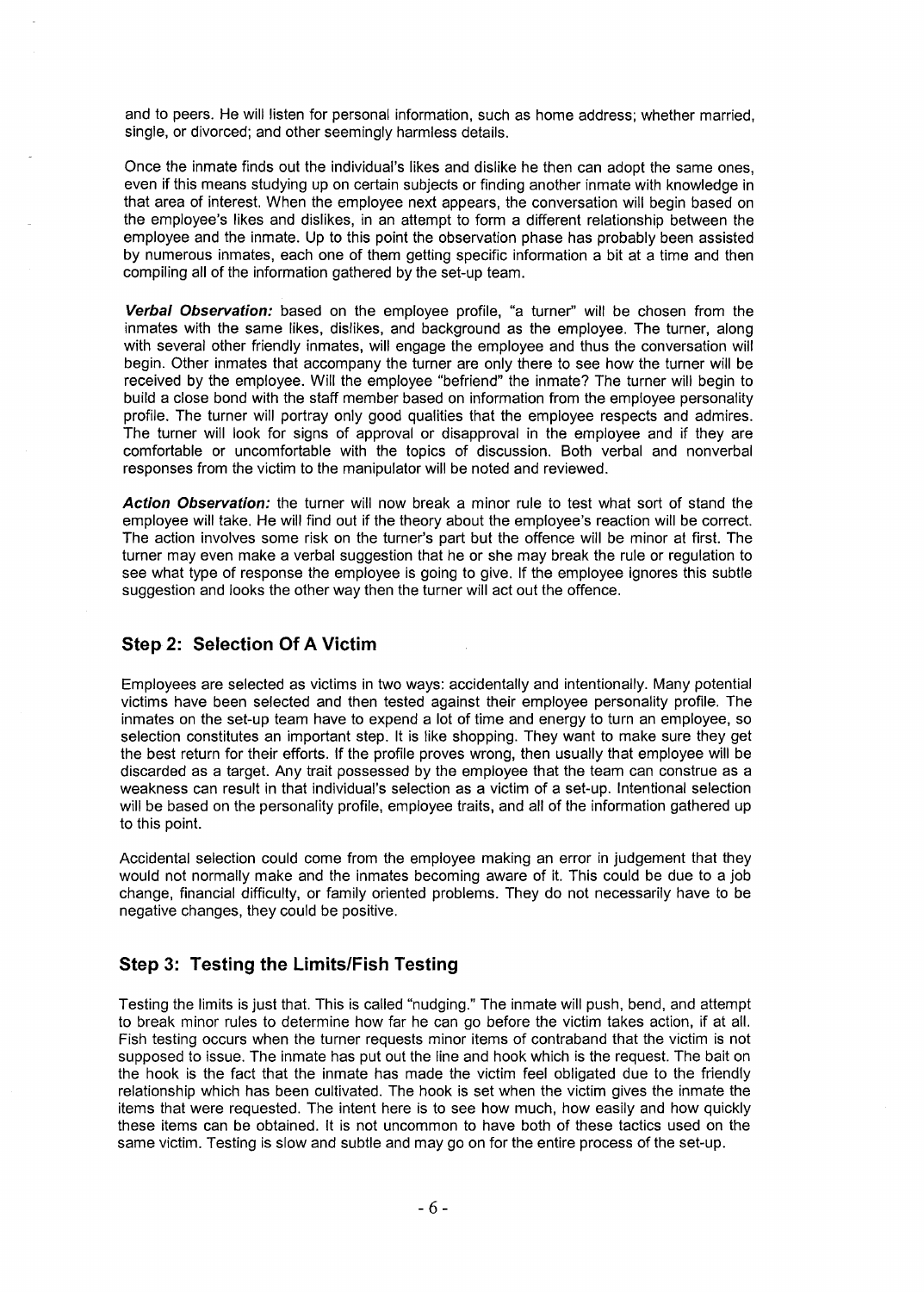and to peers. He will listen for personal information, such as home address; whether married, single, or divorced; and other seemingly harmless details.

Once the inmate finds out the individual's likes and dislike he then can adopt the same ones, even if this means studying up on certain subjects or finding another inmate with knowledge in that area of interest. When the employee next appears, the conversation will begin based on the employee's likes and dislikes, in an attempt to form a different relationship between the employee and the inmate. Up to this point the observation phase has probably been assisted by numerous inmates, each one of them getting specific information a bit at a time and then compiling all of the information gathered by the set-up team.

**Verbal Observation:** based on the employee profile, "a turner" will be chosen from the inmates with the same likes, dislikes, and background as the employee. The turner, along with several other friendly inmates, will engage the employee and thus the conversation will begin. Other inmates that accompany the turner are only there to see how the turner will be received by the employee. Will the employee "befriend" the inmate? The turner will begin to build a close bond with the staff member based on information from the employee personality profile. The turner will portray only good qualities that the employee respects and admires. The turner will look for signs of approval or disapproval in the employee and if they are comfortable or uncomfortable with the topics of discussion. Both verbal and nonverbal responses from the victim to the manipulator will be noted and reviewed.

**Action Observation:** the turner will now break a minor rule to test what sort of stand the employee will take. He will find out if the theory about the employee's reaction will be correct. The action involves some risk on the turner's part but the offence will be minor at first. The turner may even make a verbal suggestion that he or she may break the rule or regulation to see what type of response the employee is going to give. If the employee ignores this subtle suggestion and looks the other way then the turner will act out the offence.

#### Step- **2: Selection Of A Victim**

Employees are selected as victims in two ways: accidentally and intentionally. Many potential victims have been selected and then tested against their employee personality profile. The inmates on the set-up team have to expend a lot of time and energy to turn an employee, so selection constitutes an important step. It is like shopping. They want to make sure they get the best return for their efforts. If the profile proves wrong, then usually that employee will be discarded as a target. Any trait possessed by the employee that the team can construe as a weakness can result in that individual's selection as a victim of a set-up. Intentional selection will be based on the personality profile, employee traits, and all of the information gathered up to this point.

Accidental selection could come from the employee making an error in judgement that they would not normally make and the inmates becoming aware of it. This could be due to a job change, financial difficulty, or family oriented problems. They do not necessarily have to be negative changes, they could be positive.

#### **Step 3: Testing the Limits/Fish Testing**

Testing the limits is just that. This is called "nudging." The inmate will push, bend, and attempt to break minor rules to determine how far he can go before the victim takes action, if at all. Fish testing occurs when the turner requests minor items of contraband that the victim is not supposed to issue. The inmate has put out the line and hook which is the request. The bait on the hook is the fact that the inmate has made the victim feel obligated due to the friendly relationship which has been cultivated. The hook is set when the victim gives the inmate the items that were requested. The intent here is to see how much, how easily and how quickly these items can be obtained. It is not uncommon to have both of these tactics used on the same victim. Testing is slow and subtle and may go on for the entire process of the set-up.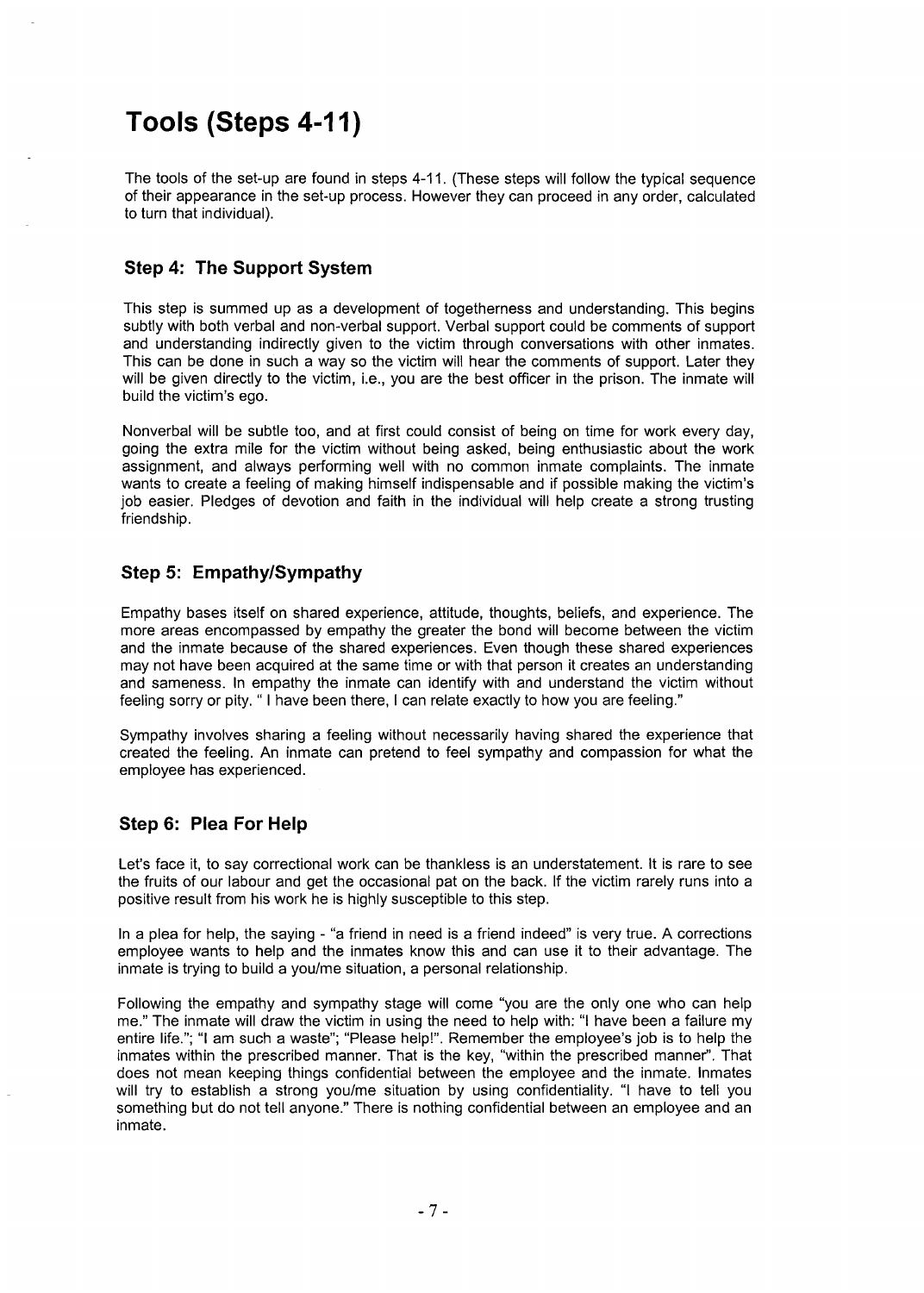## Tools (Steps 4-11)

The tools of the set-up are found in steps 4-11. (These steps will follow the typical sequence of their appearance in the set-up process. However they can proceed in any order, calculated to turn that individual).

### Step 4: The Support System

This step is summed up as a development of togetherness and understanding. This begins subtly with both verbal and non-verbal support. Verbal support could be comments of support and understanding indirectly given to the victim through conversations with other inmates. This can be done in such a way so the victim will hear the comments of support. Later they will be given directly to the victim, i.e., you are the best officer in the prison. The inmate will build the victim's ego.

Nonverbal will be subtle too, and at first could consist of being on time for work every day, going the extra mile for the victim without being asked, being enthusiastic about the work assignment, and always performing well with no common inmate complaints. The inmate wants to create a feeling of making himself indispensable and if possible making the victim's job easier. Pledges of devotion and faith in the individual will help create a strong trusting friendship.

### Step 5: Empathy/Sympathy

Empathy bases itself on shared experience, attitude, thoughts, beliefs, and experience. The more areas encompassed by empathy the greater the bond will become between the victim and the inmate because of the shared experiences. Even though these shared experiences may not have been acquired at the same time or with that person it creates an understanding and sameness. In empathy the inmate can identify with and understand the victim without feeling sorry or pity. " I have been there, I can relate exactly to how you are feeling."

Sympathy involves sharing a feeling without necessarily having shared the experience that created the feeling. An inmate can pretend to feel sympathy and compassion for what the employee has experienced.

### Step 6: Plea For Help

Let's face it, to say correctional work can be thankless is an understatement. It is rare to see the fruits of our labour and get the occasional pat on the back. If the victim rarely runs into a positive result from his work he is highly susceptible to this step.

In a plea for help, the saying - "a friend in need is a friend indeed" is very true. A corrections employee wants to help and the inmates know this and can use it to their advantage. The inmate is trying to build a you/me situation, a personal relationship.

Following the empathy and sympathy stage will come "you are the only one who can help me." The inmate will draw the victim in using the need to help with: "I have been a failure my entire life."; "I am such a waste"; "Please help!". Remember the employee's job is to help the inmates within the prescribed manner. That is the key, "within the prescribed manner". That does not mean keeping things confidential between the employee and the inmate. Inmates will try to establish a strong you/me situation by using confidentiality. "I have to tell you something but do not tell anyone." There is nothing confidential between an employee and an inmate.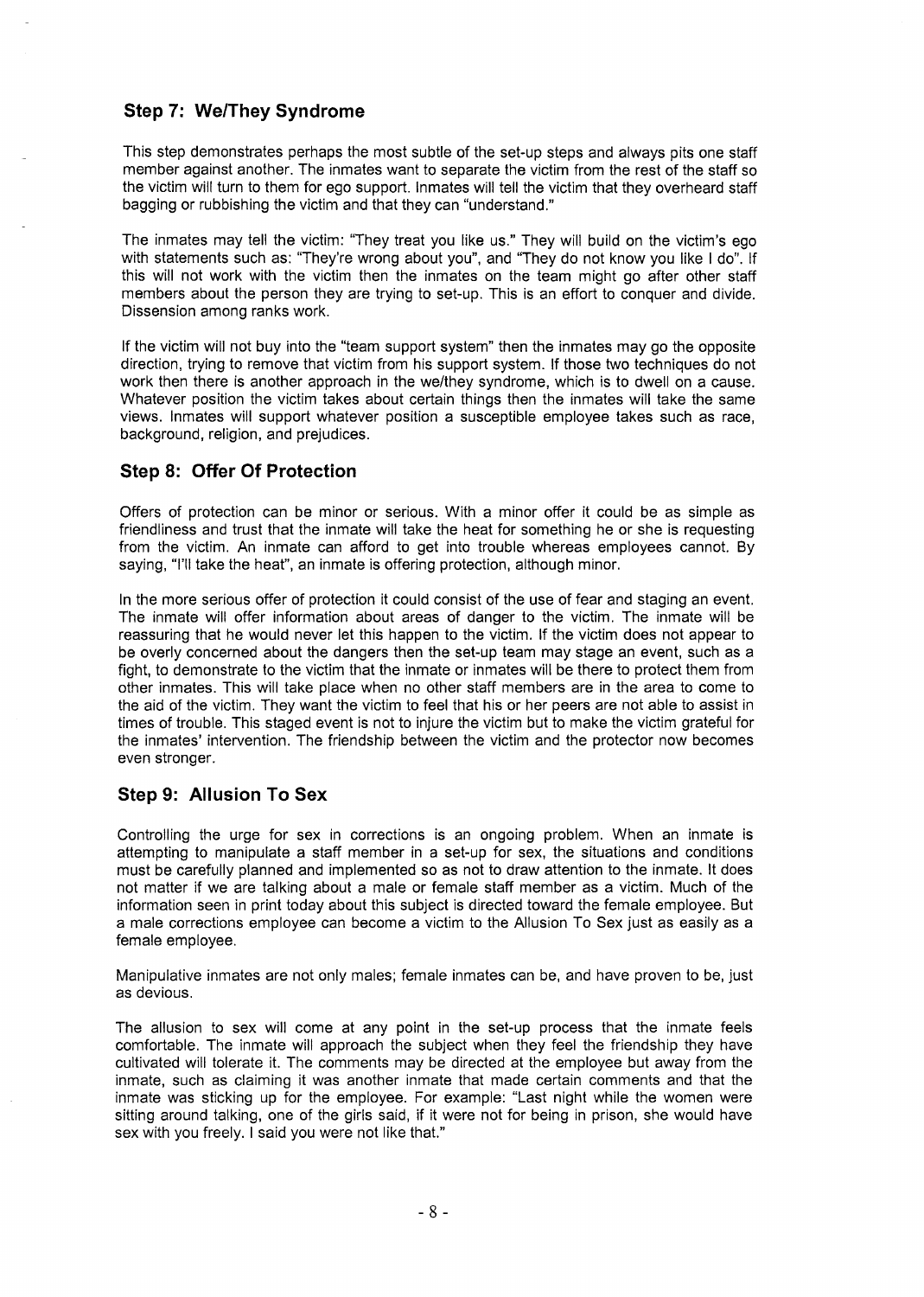#### **Step 7: We/They Syndrome**

This step demonstrates perhaps the most subtle of the set-up steps and always pits one staff member against another. The inmates want to separate the victim from the rest of the staff so the victim will turn to them for ego support. Inmates will tell the victim that they overheard staff bagging or rubbishing the victim and that they can "understand."

The inmates may tell the victim: "They treat you like us." They will build on the victim's ego with statements such as: "They're wrong about you", and "They do not know you like I do". If this will not work with the victim then the inmates on the team might go after other staff members about the person they are trying to set-up. This is an effort to conquer and divide. Dissension among ranks work.

If the victim will not buy into the "team support system" then the inmates may go the opposite direction, trying to remove that victim from his support system. If those two techniques do not work then there is another approach in the we/they syndrome, which is to dwell on a cause. Whatever position the victim takes about certain things then the inmates will take the same views. Inmates will support whatever position a susceptible employee takes such as race, background, religion, and prejudices.

#### **Step 8: Offer Of Protection**

Offers of protection can be minor or serious. With a minor offer it could be as simple as friendliness and trust that the inmate will take the heat for something he or she is requesting from the victim. An inmate can afford to get into trouble whereas employees cannot. By saying, "I'll take the heat", an inmate is offering protection, although minor.

In the more serious offer of protection it could consist of the use of fear and staging an event. The inmate will offer information about areas of danger to the victim. The inmate will be reassuring that he would never let this happen to the victim. If the victim does not appear to be overly concerned about the dangers then the set-up team may stage an event, such as a fight, to demonstrate to the victim that the inmate or inmates will be there to protect them from other inmates. This will take place when no other staff members are in the area to come to the aid of the victim. They want the victim to feel that his or her peers are not able to assist in times of trouble. This staged event is not to injure the victim but to make the victim grateful for the inmates' intervention. The friendship between the victim and the protector now becomes even stronger.

#### **Step 9: Allusion To Sex**

Controlling the urge for sex in corrections is an ongoing problem. When an inmate is attempting to manipulate a staff member in a set-up for sex, the situations and conditions must be carefully planned and implemented so as not to draw attention to the inmate. It does not matter if we are talking about a male or female staff member as a victim. Much of the information seen in print today about this subject is directed toward the female employee. But a male corrections employee can become a victim to the Allusion To Sex just as easily as a female employee.

Manipulative inmates are not only males; female inmates can be, and have proven to be, just as devious.

The allusion to sex will come at any point in the set-up process that the inmate feels comfortable. The inmate will approach the subject when they feel the friendship they have cultivated will tolerate it. The comments may be directed at the employee but away from the inmate, such as claiming it was another inmate that made certain comments and that the inmate was sticking up for the employee. For example: "Last night while the women were sitting around talking, one of the girls said, if it were not for being in prison, she would have sex with you freely. I said you were not like that."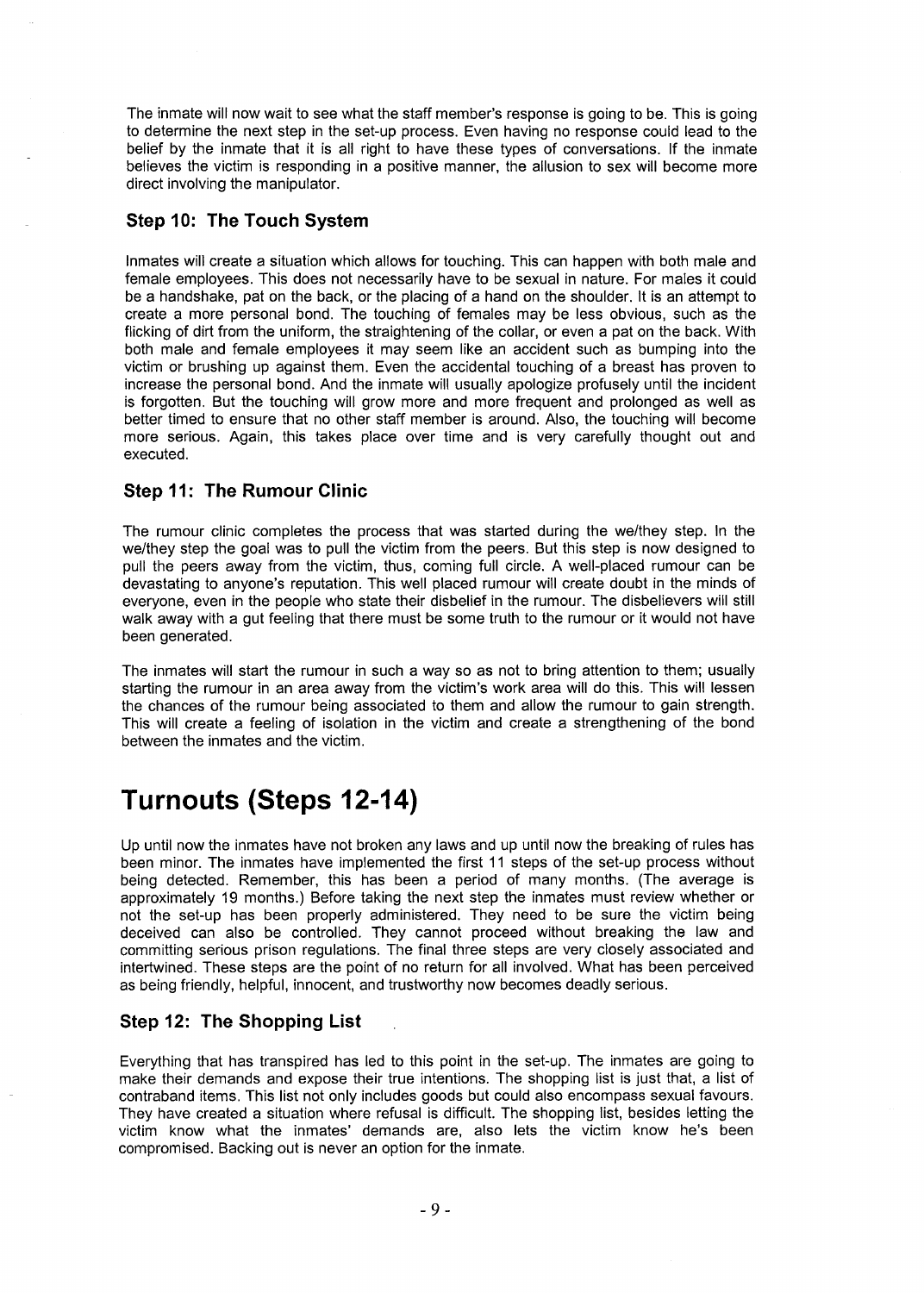The inmate will now wait to see what the staff member's response is going to be. This is going to determine the next step in the set-up process. Even having no response could lead to the belief by the inmate that it is all right to have these types of conversations. If the inmate believes the victim is responding in a positive manner, the allusion to sex will become more direct involving the manipulator.

#### Step 10: The Touch System

Inmates will create a situation which allows for touching. This can happen with both male and female employees. This does not necessarily have to be sexual in nature. For males it could be a handshake, pat on the back, or the placing of a hand on the shoulder. It is an attempt to create a more personal bond. The touching of females may be less obvious, such as the flicking of dirt from the uniform, the straightening of the collar, or even a pat on the back. With both male and female employees it may seem like an accident such as bumping into the victim or brushing up against them. Even the accidental touching of a breast has proven to increase the personal bond. And the inmate will usually apologize profusely until the incident is forgotten. But the touching will grow more and more frequent and prolonged as well as better timed to ensure that no other staff member is around. Also, the touching will become more serious. Again, this takes place over time and is very carefully thought out and executed.

#### Step 11: The Rumour Clinic

The rumour clinic completes the process that was started during the we/they step. In the we/they step the goal was to pull the victim from the peers. But this step is now designed to pull the peers away from the victim, thus, coming full circle. A well-placed rumour can be devastating to anyone's reputation. This well placed rumour will create doubt in the minds of everyone, even in the people who state their disbelief in the rumour. The disbelievers will still walk away with a gut feeling that there must be some truth to the rumour or it would not have been generated.

The inmates will start the rumour in such a way so as not to bring attention to them; usually starting the rumour in an area away from the victim's work area will do this. This will lessen the chances of the rumour being associated to them and allow the rumour to gain strength. This will create a feeling of isolation in the victim and create a strengthening of the bond between the inmates and the victim.

## Turnouts (Steps 12-14)

Up until now the inmates have not broken any laws and up until now the breaking of rules has been minor. The inmates have implemented the first 11 steps of the set-up process without being detected. Remember, this has been a period of many months. (The average is approximately 19 months.) Before taking the next step the inmates must review whether or not the set-up has been properly administered. They need to be sure the victim being deceived can also be controlled. They cannot proceed without breaking the law and committing serious prison regulations. The final three steps are very closely associated and intertwined. These steps are the point of no return for all involved. What has been perceived as being friendly, helpful, innocent, and trustworthy now becomes deadly serious.

#### Step 12: The Shopping List

Everything that has transpired has led to this point in the set-up. The inmates are going to make their demands and expose their true intentions. The shopping list is just that, a list of contraband items. This list not only includes goods but could also encompass sexual favours. They have created a situation where refusal is difficult. The shopping list, besides letting the victim know what the inmates' demands are, also lets the victim know he's been compromised. Backing out is never an option for the inmate.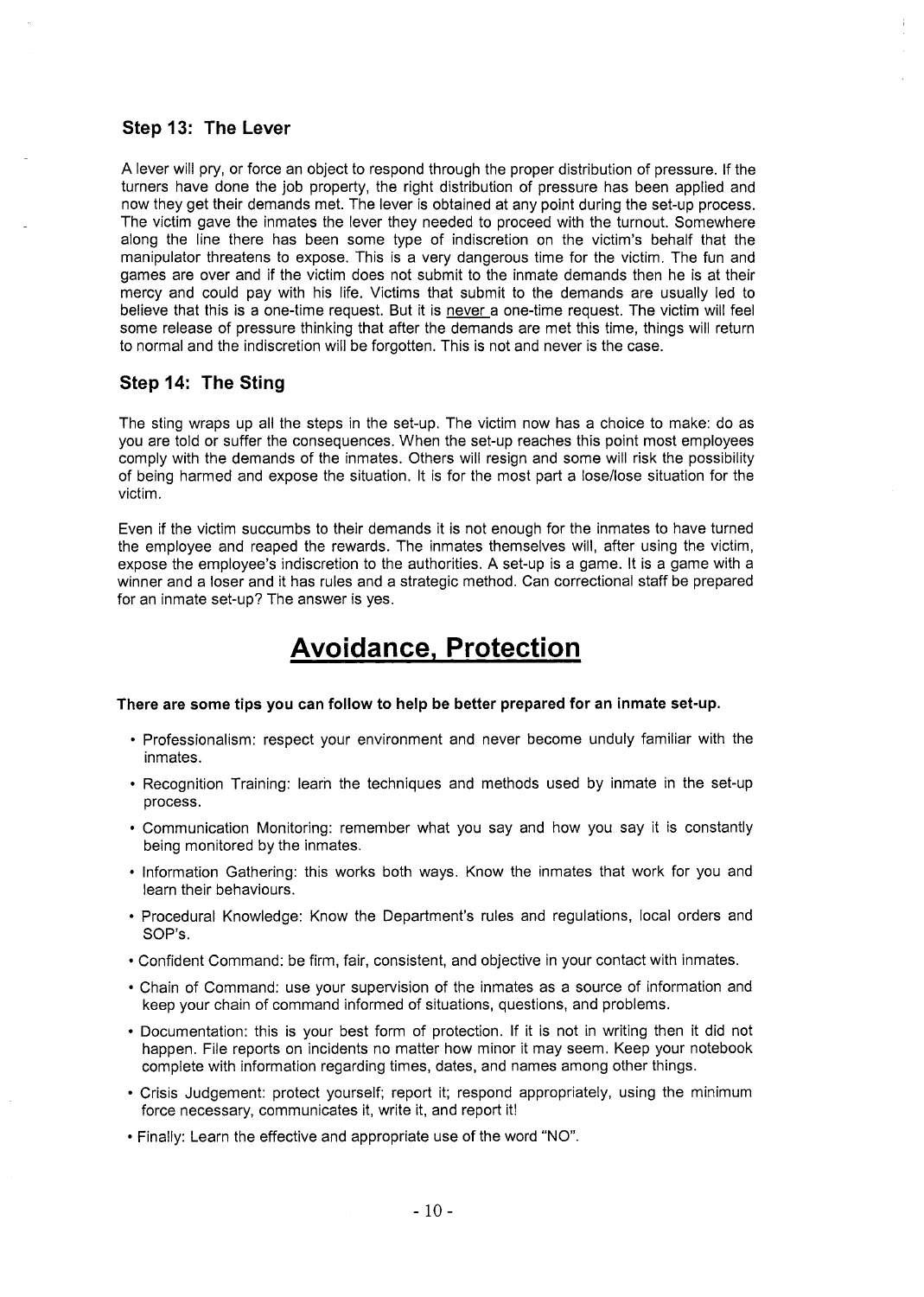#### Step 13: The Lever

A lever will pry, or force an object to respond through the proper distribution of pressure. If the turners have done the job property, the right distribution of pressure has been applied and now they get their demands met. The lever is obtained at any point during the set-up process. The victim gave the inmates the lever they needed to proceed with the turnout. Somewhere along the line there has been some type of indiscretion on the victim's behalf that the manipulator threatens to expose. This is a very dangerous time for the victim. The fun and games are over and if the victim does not submit to the inmate demands then he is at their mercy and could pay with his life. Victims that submit to the demands are usually led to believe that this is a one-time request. But it is never a one-time request. The victim will feel some release of pressure thinking that after the demands are met this time, things will return to normal and the indiscretion will be forgotten. This is not and never is the case.

#### Step 14: The Sting

The sting wraps up all the steps in the set-up. The victim now has a choice to make: do as you are told or suffer the consequences. When the set-up reaches this point most employees comply with the demands of the inmates. Others will resign and some will risk the possibility of being harmed and expose the situation. It is for the most part a lose/lose situation for the victim.

Even if the victim succumbs to their demands it is not enough for the inmates to have turned the employee and reaped the rewards. The inmates themselves will, after using the victim, expose the employee's indiscretion to the authorities. A set-up is a game. It is a game with a winner and a loser and it has rules and a strategic method. Can correctional staff be prepared for an inmate set-up? The answer is yes.

## Avoidance, Protection

#### There are some tips you can follow to help be better prepared for an inmate set-up.

- Professionalism: respect your environment and never become unduly familiar with the inmates.
- Recognition Training: learn the techniques and methods used by inmate in the set-up process.
- Communication Monitoring: remember what you say and how you say it is constantly being monitored by the inmates.
- Information Gathering: this works both ways. Know the inmates that work for you and learn their behaviours.
- Procedural Knowledge: Know the Department's rules and regulations, local orders and SOP's.
- Confident Command: be firm, fair, consistent, and objective in your contact with inmates.
- Chain of Command: use your supervision of the inmates as a source of information and keep your chain of command informed of situations, questions, and problems.
- Documentation: this is your best form of protection. If it is not in writing then it did not happen. File reports on incidents no matter how minor it may seem. Keep your notebook complete with information regarding times, dates, and names among other things.
- Crisis Judgement: protect yourself; report it; respond appropriately, using the minimum force necessary, communicates it, write it, and report itl
- Finally: Learn the effective and appropriate use of the word "NO".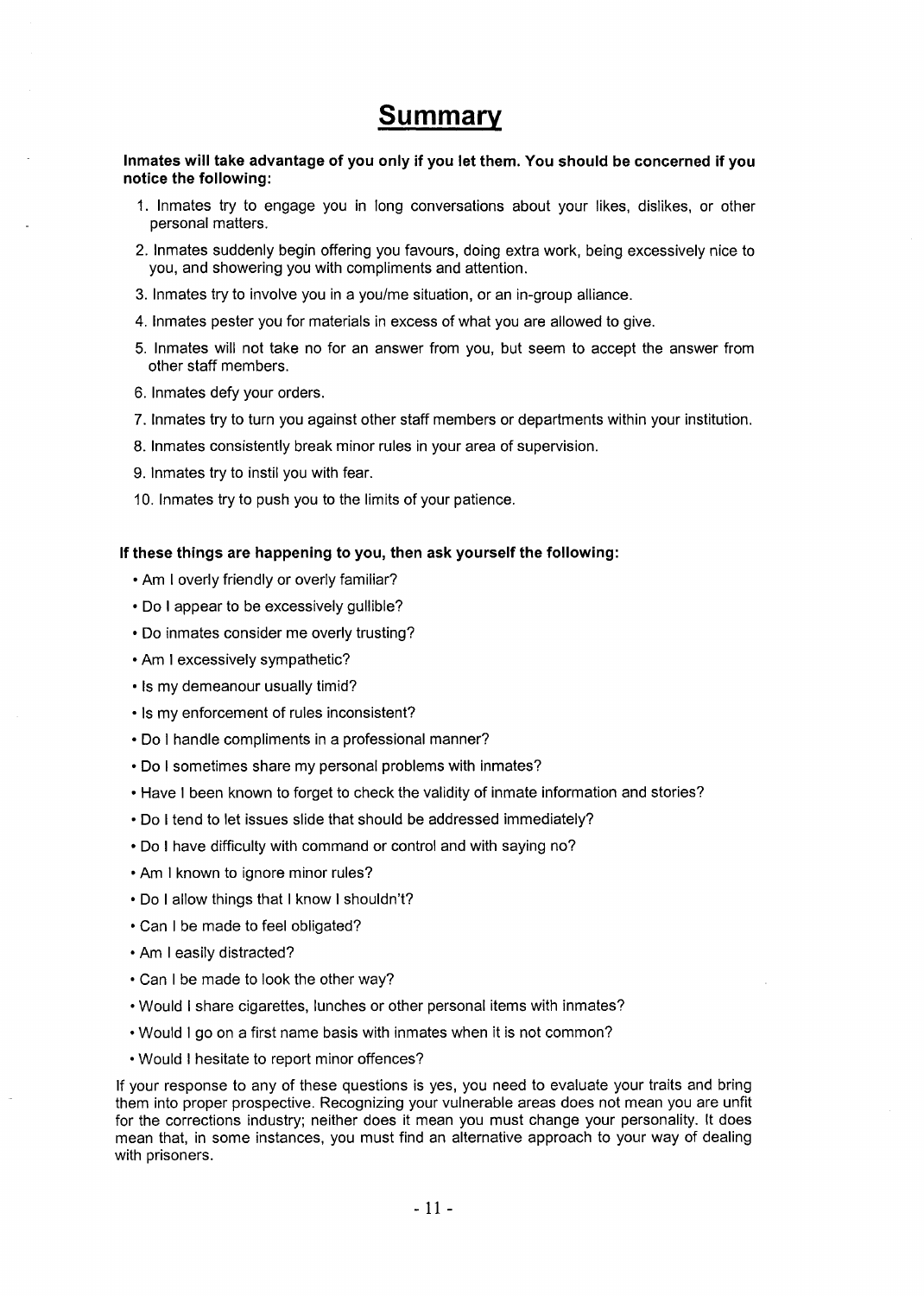## Summary

Inmates will take advantage of you only if you let them. You should be concerned if you notice the following:

- 1. Inmates try to engage you in long conversations about your likes, dislikes, or other personal matters.
- 2. Inmates suddenly begin offering you favours, doing extra work, being excessively nice to you, and showering you with compliments and attention.
- 3. Inmates try to involve you in a you/me situation, or an in-group alliance.
- 4. Inmates pester you for materials in excess of what you are allowed to give.
- 5. Inmates will not take no for an answer from you, but seem to accept the answer from other staff members.
- 6. Inmates defy your orders.
- 7. Inmates try to turn you against other staff members or departments within your institution.
- 8. Inmates consistently break minor rules in your area of supervision.
- 9. Inmates try to instil you with fear.
- 10. Inmates try to push you to the limits of your patience.

#### If these things are happening to you, then ask yourself the following:

- Am I overly friendly or overly familiar?
- Do I appear to be excessively gullible?
- Do inmates consider me overly trusting?
- Am I excessively sympathetic?
- Is my demeanour usually timid?
- Is my enforcement of rules inconsistent?
- Do I handle compliments in a professional manner?
- Do I sometimes share my personal problems with inmates?
- Have I been known to forget to check the validity of inmate information and stories?
- Do I tend to let issues slide that should be addressed immediately?
- Do I have difficulty with command or control and with saying no?
- Am I known to ignore minor rules?
- Do I allow things that I know I shouldn't?
- Can I be made to feel obligated?
- Am I easily distracted?
- Can I be made to look the other way?
- Would I share cigarettes, lunches or other personal items with inmates?
- Would I go on a first name basis with inmates when it is not common?
- Would I hesitate to report minor offences?

If your response to any of these questions is yes, you need to evaluate your traits and bring them into proper prospective. Recognizing your vulnerable areas does not mean you are unfit for the corrections industry; neither does it mean you must change your personality. It does mean that, in some instances, you must find an alternative approach to your way of dealing with prisoners.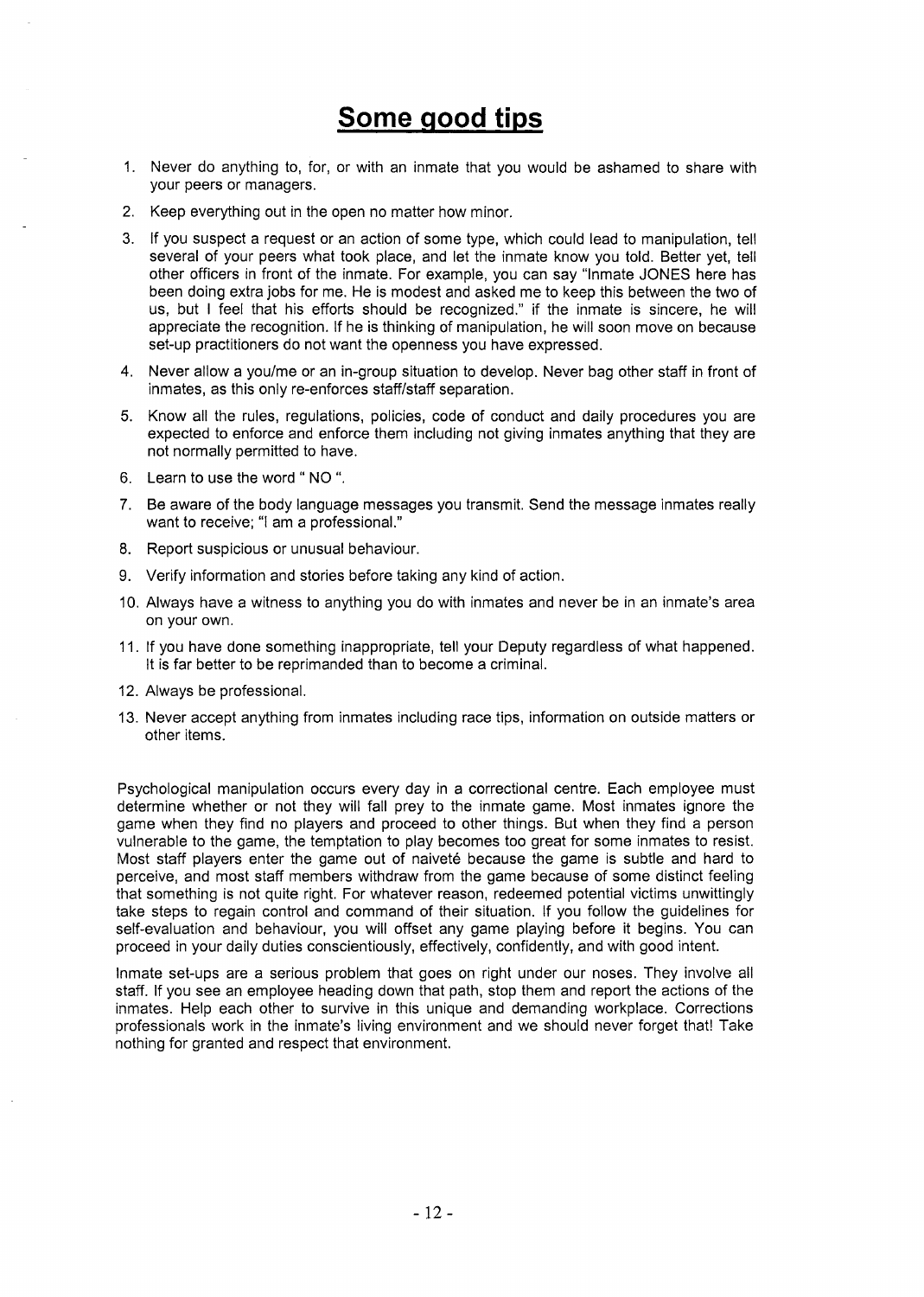## Some good tips

- 1. Never do anything to, for, or with an inmate that you would be ashamed to share with your peers or managers.
- 2. Keep everything out in the open no matter how minor.
- 3. If you suspect a request or an action of some type, which could lead to manipulation, tell several of your peers what took place, and let the inmate know you told. Better yet, tell other officers in front of the inmate. For example, you can say "Inmate JONES here has been doing extra jobs for me. He is modest and asked me to keep this between the two of us, but I feel that his efforts should be recognized." if the inmate is sincere, he will appreciate the recognition. If he is thinking of manipulation, he will soon move on because set-up practitioners do not want the openness you have expressed.
- 4. Never allow a you/me or an in-group situation to develop. Never bag other staff in front of inmates, as this only re-enforces staff/staff separation.
- 5. Know all the rules, regulations, policies, code of conduct and daily procedures you are expected to enforce and enforce them including not giving inmates anything that they are not normally permitted to have.
- 6. Learn to use the word" NO ".
- 7. Be aware of the body language messages you transmit. Send the message inmates really want to receive; "I am a professional."
- 8. Report suspicious or unusual behaviour.
- 9. Verify information and stories before taking any kind of action.
- 1O. Always have a witness to anything you do with inmates and never be in an inmate's area on your own.
- 11. If you have done something inappropriate, tell your Deputy regardless of what happened. It is far better to be reprimanded than to become a criminal.
- 12. Always be professional.
- 13. Never accept anything from inmates including race tips, information on outside matters or other items.

Psychological manipulation occurs every day in a correctional centre. Each employee must determine whether or not they will fall prey to the inmate game. Most inmates ignore the game when they find no players and proceed to other things. But when they find a person vulnerable to the game, the temptation to play becomes too great for some inmates to resist. Most staff players enter the game out of naiveté because the game is subtle and hard to perceive, and most staff members withdraw from the game because of some distinct feeling that something is not quite right. For whatever reason, redeemed potential victims unwittingly take steps to regain control and command of their situation. If you follow the guidelines for self-evaluation and behaviour, you will offset any game playing before it begins. You can proceed in your daily duties conscientiously, effectively, confidently, and with good intent.

Inmate set-ups are a serious problem that goes on right under our noses. They involve all staff. If you see an employee heading down that path, stop them and report the actions of the inmates. Help each other to survive in this unique and demanding workplace. Corrections professionals work in the inmate's living environment and we should never forget that! Take nothing for granted and respect that environment.